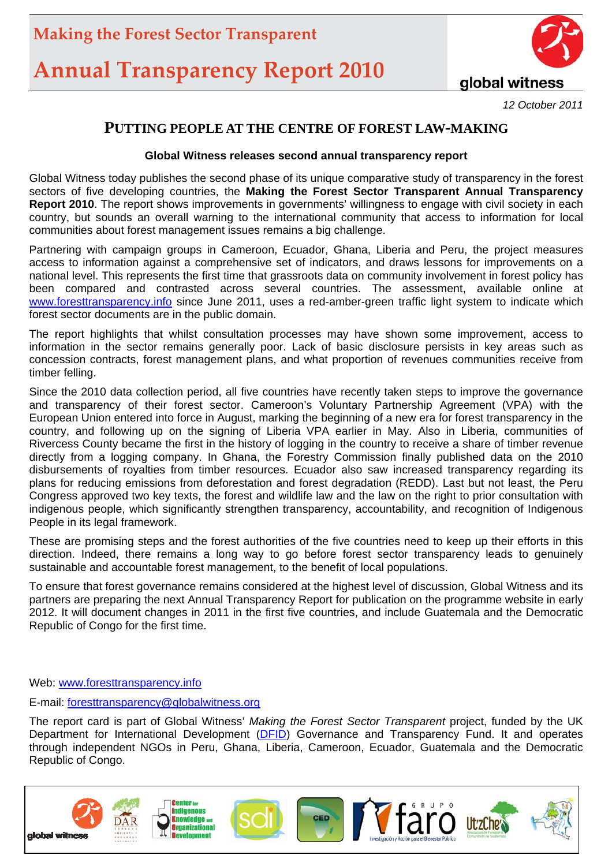# **Annual Transparency Report 2010**



*12 October 2011*

#### **PUTTING PEOPLE AT THE CENTRE OF FOREST LAW-MAKING**

#### **Global Witness releases second annual transparency report**

Global Witness today publishes the second phase of its unique comparative study of transparency in the forest sectors of five developing countries, the **Making the Forest Sector Transparent Annual Transparency Report 2010**. The report shows improvements in governments' willingness to engage with civil society in each country, but sounds an overall warning to the international community that access to information for local communities about forest management issues remains a big challenge.

Partnering with campaign groups in Cameroon, Ecuador, Ghana, Liberia and Peru, the project measures access to information against a comprehensive set of indicators, and draws lessons for improvements on a national level. This represents the first time that grassroots data on community involvement in forest policy has been compared and contrasted across several countries. The assessment, available online at [www.foresttransparency.info](http://www.foresttransparency.info/) since June 2011, uses a red-amber-green traffic light system to indicate which forest sector documents are in the public domain.

The report highlights that whilst consultation processes may have shown some improvement, access to information in the sector remains generally poor. Lack of basic disclosure persists in key areas such as concession contracts, forest management plans, and what proportion of revenues communities receive from timber felling.

Since the 2010 data collection period, all five countries have recently taken steps to improve the governance and transparency of their forest sector. Cameroon's Voluntary Partnership Agreement (VPA) with the European Union entered into force in August, marking the beginning of a new era for forest transparency in the country, and following up on the signing of Liberia VPA earlier in May. Also in Liberia, communities of Rivercess County became the first in the history of logging in the country to receive a share of timber revenue directly from a logging company. In Ghana, the Forestry Commission finally published data on the 2010 disbursements of royalties from timber resources. Ecuador also saw increased transparency regarding its plans for reducing emissions from deforestation and forest degradation (REDD). Last but not least, the Peru Congress approved two key texts, the forest and wildlife law and the law on the right to prior consultation with indigenous people, which significantly strengthen transparency, accountability, and recognition of Indigenous People in its legal framework.

These are promising steps and the forest authorities of the five countries need to keep up their efforts in this direction. Indeed, there remains a long way to go before forest sector transparency leads to genuinely sustainable and accountable forest management, to the benefit of local populations.

To ensure that forest governance remains considered at the highest level of discussion, Global Witness and its partners are preparing the next Annual Transparency Report for publication on the programme website in early 2012. It will document changes in 2011 in the first five countries, and include Guatemala and the Democratic Republic of Congo for the first time.

Web: www.foresttransparency.info

E-mail: [foresttransparency@globalwitness.org](mailto:foresttransparency@globalwitness.org)

The report card is part of Global Witness' *Making the Forest Sector Transparent* project, funded by the UK Department for International Development ([DFID](http://www.dfid.gov.uk/Working-with-DFID/Funding-opportunities/Not-for-profit-organisations/Governance-and-Transparency-Fund-GTF-/)) Governance and Transparency Fund. It and operates through independent NGOs in Peru, Ghana, Liberia, Cameroon, Ecuador, Guatemala and the Democratic Republic of Congo.